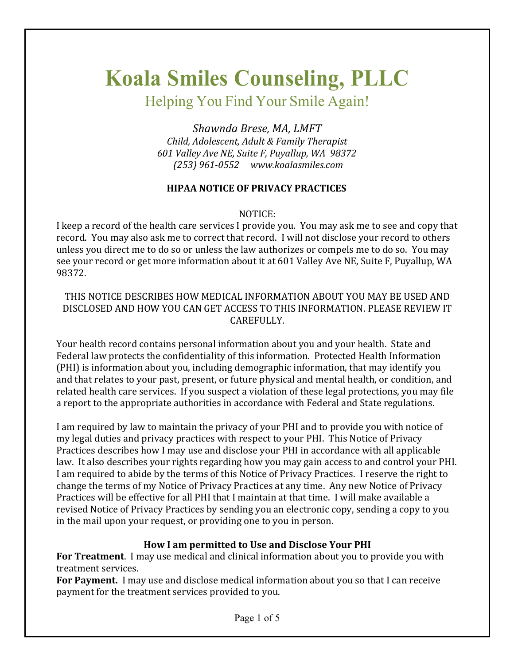# **Koala Smiles Counseling, PLLC**

Helping You Find Your Smile Again!

*Shawnda Brese, MA, LMFT Child, Adolescent, Adult & Family Therapist 601 Valley Ave NE, Suite F, Puyallup, WA 98372 (253) 961-0552 www.koalasmiles.com*

# **HIPAA NOTICE OF PRIVACY PRACTICES**

### NOTICE:

I keep a record of the health care services I provide you. You may ask me to see and copy that record. You may also ask me to correct that record. I will not disclose your record to others unless you direct me to do so or unless the law authorizes or compels me to do so. You may see your record or get more information about it at 601 Valley Ave NE, Suite F, Puyallup, WA 98372.

### THIS NOTICE DESCRIBES HOW MEDICAL INFORMATION ABOUT YOU MAY BE USED AND DISCLOSED AND HOW YOU CAN GET ACCESS TO THIS INFORMATION. PLEASE REVIEW IT CAREFULLY.

Your health record contains personal information about you and your health. State and Federal law protects the confidentiality of this information. Protected Health Information (PHI) is information about you, including demographic information, that may identify you and that relates to your past, present, or future physical and mental health, or condition, and related health care services. If you suspect a violation of these legal protections, you may file a report to the appropriate authorities in accordance with Federal and State regulations.

I am required by law to maintain the privacy of your PHI and to provide you with notice of my legal duties and privacy practices with respect to your PHI. This Notice of Privacy Practices describes how I may use and disclose your PHI in accordance with all applicable law. It also describes your rights regarding how you may gain access to and control your PHI. I am required to abide by the terms of this Notice of Privacy Practices. I reserve the right to change the terms of my Notice of Privacy Practices at any time. Any new Notice of Privacy Practices will be effective for all PHI that I maintain at that time. I will make available a revised Notice of Privacy Practices by sending you an electronic copy, sending a copy to you in the mail upon your request, or providing one to you in person.

## How I am permitted to Use and Disclose Your PHI

**For Treatment**. I may use medical and clinical information about you to provide you with treatment services.

**For Payment.** I may use and disclose medical information about you so that I can receive payment for the treatment services provided to you.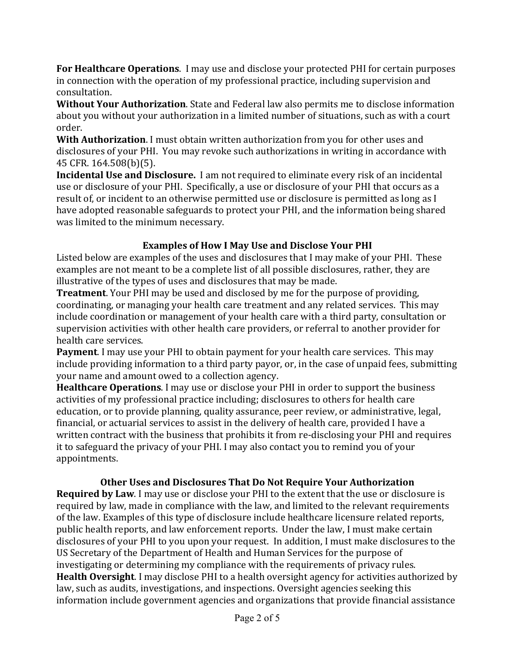**For Healthcare Operations**. I may use and disclose your protected PHI for certain purposes in connection with the operation of my professional practice, including supervision and consultation.

**Without Your Authorization**. State and Federal law also permits me to disclose information about you without your authorization in a limited number of situations, such as with a court order.

**With Authorization**. I must obtain written authorization from you for other uses and disclosures of your PHI. You may revoke such authorizations in writing in accordance with 45 CFR. 164.508(b)(5).

**Incidental Use and Disclosure.** I am not required to eliminate every risk of an incidental use or disclosure of your PHI. Specifically, a use or disclosure of your PHI that occurs as a result of, or incident to an otherwise permitted use or disclosure is permitted as long as I have adopted reasonable safeguards to protect your PHI, and the information being shared was limited to the minimum necessary.

# **Examples of How I May Use and Disclose Your PHI**

Listed below are examples of the uses and disclosures that I may make of your PHI. These examples are not meant to be a complete list of all possible disclosures, rather, they are illustrative of the types of uses and disclosures that may be made.

**Treatment**. Your PHI may be used and disclosed by me for the purpose of providing, coordinating, or managing your health care treatment and any related services. This may include coordination or management of your health care with a third party, consultation or supervision activities with other health care providers, or referral to another provider for health care services.

**Payment**. I may use your PHI to obtain payment for your health care services. This may include providing information to a third party payor, or, in the case of unpaid fees, submitting your name and amount owed to a collection agency.

**Healthcare Operations**. I may use or disclose your PHI in order to support the business activities of my professional practice including; disclosures to others for health care education, or to provide planning, quality assurance, peer review, or administrative, legal, financial, or actuarial services to assist in the delivery of health care, provided I have a written contract with the business that prohibits it from re-disclosing your PHI and requires it to safeguard the privacy of your PHI. I may also contact you to remind you of your appointments.

# **Other Uses and Disclosures That Do Not Require Your Authorization**

**Required by Law**. I may use or disclose your PHI to the extent that the use or disclosure is required by law, made in compliance with the law, and limited to the relevant requirements of the law. Examples of this type of disclosure include healthcare licensure related reports, public health reports, and law enforcement reports. Under the law, I must make certain disclosures of your PHI to you upon your request. In addition, I must make disclosures to the US Secretary of the Department of Health and Human Services for the purpose of investigating or determining my compliance with the requirements of privacy rules. **Health Oversight**. I may disclose PHI to a health oversight agency for activities authorized by law, such as audits, investigations, and inspections. Oversight agencies seeking this information include government agencies and organizations that provide financial assistance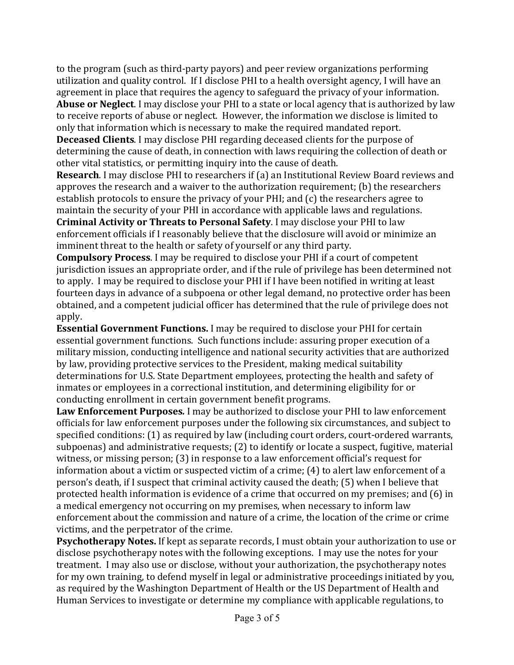to the program (such as third-party payors) and peer review organizations performing utilization and quality control. If I disclose PHI to a health oversight agency, I will have an agreement in place that requires the agency to safeguard the privacy of your information. Abuse or Neglect. I may disclose your PHI to a state or local agency that is authorized by law

to receive reports of abuse or neglect. However, the information we disclose is limited to only that information which is necessary to make the required mandated report.

**Deceased Clients**. I may disclose PHI regarding deceased clients for the purpose of determining the cause of death, in connection with laws requiring the collection of death or other vital statistics, or permitting inquiry into the cause of death.

**Research**. I may disclose PHI to researchers if (a) an Institutional Review Board reviews and approves the research and a waiver to the authorization requirement; (b) the researchers establish protocols to ensure the privacy of your  $PHI$ ; and  $(c)$  the researchers agree to maintain the security of your PHI in accordance with applicable laws and regulations. **Criminal Activity or Threats to Personal Safety**. I may disclose your PHI to law enforcement officials if I reasonably believe that the disclosure will avoid or minimize an imminent threat to the health or safety of yourself or any third party.

**Compulsory Process**. I may be required to disclose your PHI if a court of competent jurisdiction issues an appropriate order, and if the rule of privilege has been determined not to apply. I may be required to disclose your PHI if I have been notified in writing at least fourteen days in advance of a subpoena or other legal demand, no protective order has been obtained, and a competent judicial officer has determined that the rule of privilege does not apply.

**Essential Government Functions.** I may be required to disclose your PHI for certain essential government functions. Such functions include: assuring proper execution of a military mission, conducting intelligence and national security activities that are authorized by law, providing protective services to the President, making medical suitability determinations for U.S. State Department employees, protecting the health and safety of inmates or employees in a correctional institution, and determining eligibility for or conducting enrollment in certain government benefit programs.

Law Enforcement Purposes. I may be authorized to disclose your PHI to law enforcement officials for law enforcement purposes under the following six circumstances, and subject to specified conditions: (1) as required by law (including court orders, court-ordered warrants, subpoenas) and administrative requests; (2) to identify or locate a suspect, fugitive, material witness, or missing person;  $(3)$  in response to a law enforcement official's request for information about a victim or suspected victim of a crime;  $(4)$  to alert law enforcement of a person's death, if I suspect that criminal activity caused the death; (5) when I believe that protected health information is evidence of a crime that occurred on my premises; and (6) in a medical emergency not occurring on my premises, when necessary to inform law enforcement about the commission and nature of a crime, the location of the crime or crime victims, and the perpetrator of the crime.

**Psychotherapy Notes.** If kept as separate records, I must obtain your authorization to use or disclose psychotherapy notes with the following exceptions. I may use the notes for your treatment. I may also use or disclose, without your authorization, the psychotherapy notes for my own training, to defend myself in legal or administrative proceedings initiated by you, as required by the Washington Department of Health or the US Department of Health and Human Services to investigate or determine my compliance with applicable regulations, to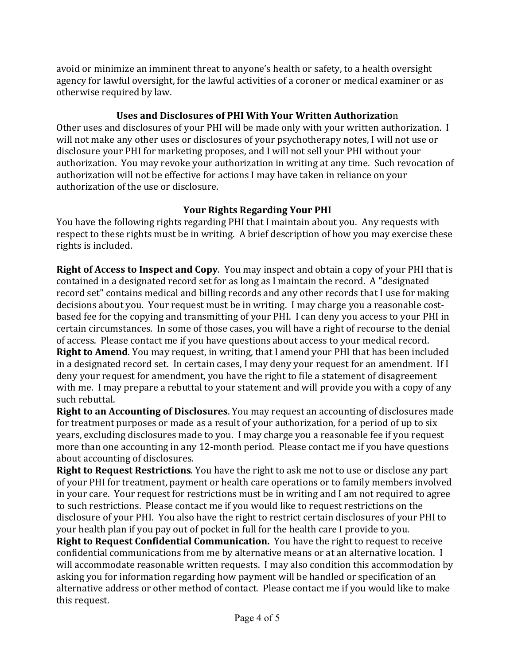avoid or minimize an imminent threat to anyone's health or safety, to a health oversight agency for lawful oversight, for the lawful activities of a coroner or medical examiner or as otherwise required by law.

## Uses and Disclosures of PHI With Your Written Authorization

Other uses and disclosures of your PHI will be made only with your written authorization. I will not make any other uses or disclosures of your psychotherapy notes, I will not use or disclosure your PHI for marketing proposes, and I will not sell your PHI without your authorization. You may revoke your authorization in writing at any time. Such revocation of authorization will not be effective for actions I may have taken in reliance on your authorization of the use or disclosure.

# Your Rights Regarding Your PHI

You have the following rights regarding PHI that I maintain about you. Any requests with respect to these rights must be in writing. A brief description of how you may exercise these rights is included.

**Right of Access to Inspect and Copy**. You may inspect and obtain a copy of your PHI that is contained in a designated record set for as long as I maintain the record. A "designated record set" contains medical and billing records and any other records that I use for making decisions about you. Your request must be in writing. I may charge you a reasonable costbased fee for the copying and transmitting of your PHI. I can deny you access to your PHI in certain circumstances. In some of those cases, you will have a right of recourse to the denial of access. Please contact me if you have questions about access to your medical record. **Right to Amend**. You may request, in writing, that I amend your PHI that has been included in a designated record set. In certain cases, I may deny your request for an amendment. If I deny your request for amendment, you have the right to file a statement of disagreement with me. I may prepare a rebuttal to your statement and will provide you with a copy of any such rebuttal.

**Right to an Accounting of Disclosures**. You may request an accounting of disclosures made for treatment purposes or made as a result of your authorization, for a period of up to six years, excluding disclosures made to you. I may charge you a reasonable fee if you request more than one accounting in any 12-month period. Please contact me if you have questions about accounting of disclosures.

**Right to Request Restrictions**. You have the right to ask me not to use or disclose any part of your PHI for treatment, payment or health care operations or to family members involved in your care. Your request for restrictions must be in writing and I am not required to agree to such restrictions. Please contact me if you would like to request restrictions on the disclosure of your PHI. You also have the right to restrict certain disclosures of your PHI to your health plan if you pay out of pocket in full for the health care I provide to you.

**Right to Request Confidential Communication.** You have the right to request to receive confidential communications from me by alternative means or at an alternative location. I will accommodate reasonable written requests. I may also condition this accommodation by asking you for information regarding how payment will be handled or specification of an alternative address or other method of contact. Please contact me if you would like to make this request.